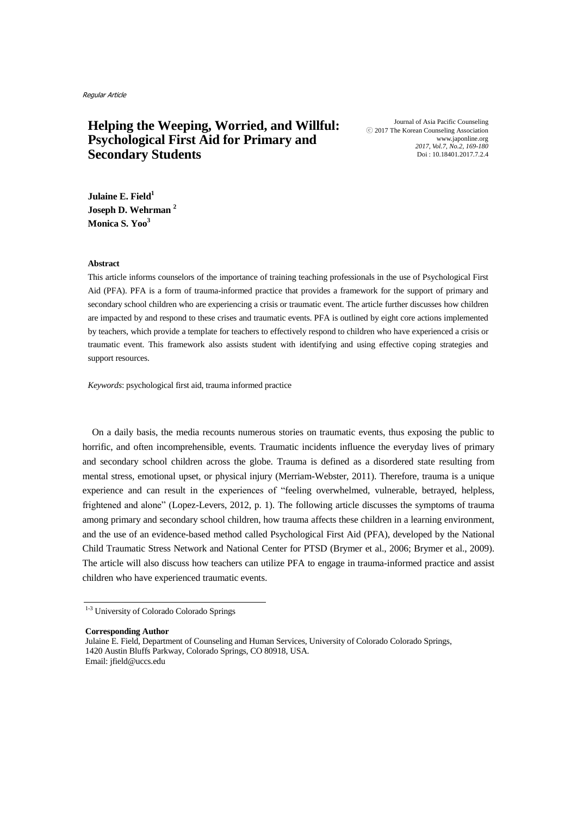# **Helping the Weeping, Worried, and Willful: Psychological First Aid for Primary and Secondary Students**

Journal of Asia Pacific Counseling ⓒ 2017 The Korean Counseling Association www.japonline.org *2017, Vol.7, No.2, 169-180* Doi : 10.18401.2017.7.2.4

**Julaine E. Field<sup>1</sup> Joseph D. Wehrman <sup>2</sup> Monica S. Yoo<sup>3</sup>**

#### **Abstract**

This article informs counselors of the importance of training teaching professionals in the use of Psychological First Aid (PFA). PFA is a form of trauma-informed practice that provides a framework for the support of primary and secondary school children who are experiencing a crisis or traumatic event. The article further discusses how children are impacted by and respond to these crises and traumatic events. PFA is outlined by eight core actions implemented by teachers, which provide a template for teachers to effectively respond to children who have experienced a crisis or traumatic event. This framework also assists student with identifying and using effective coping strategies and support resources.

*Keywords*: psychological first aid, trauma informed practice

On a daily basis, the media recounts numerous stories on traumatic events, thus exposing the public to horrific, and often incomprehensible, events. Traumatic incidents influence the everyday lives of primary and secondary school children across the globe. Trauma is defined as a disordered state resulting from mental stress, emotional upset, or physical injury (Merriam-Webster, 2011). Therefore, trauma is a unique experience and can result in the experiences of "feeling overwhelmed, vulnerable, betrayed, helpless, frightened and alone" (Lopez-Levers, 2012, p. 1). The following article discusses the symptoms of trauma among primary and secondary school children, how trauma affects these children in a learning environment, and the use of an evidence-based method called Psychological First Aid (PFA), developed by the National Child Traumatic Stress Network and National Center for PTSD (Brymer et al., 2006; Brymer et al., 2009). The article will also discuss how teachers can utilize PFA to engage in trauma-informed practice and assist children who have experienced traumatic events.

**Corresponding Author**

<sup>1-3</sup> University of Colorado Colorado Springs

Julaine E. Field, Department of Counseling and Human Services, University of Colorado Colorado Springs, 1420 Austin Bluffs Parkway, Colorado Springs, CO 80918, USA. Email: jfield@uccs.edu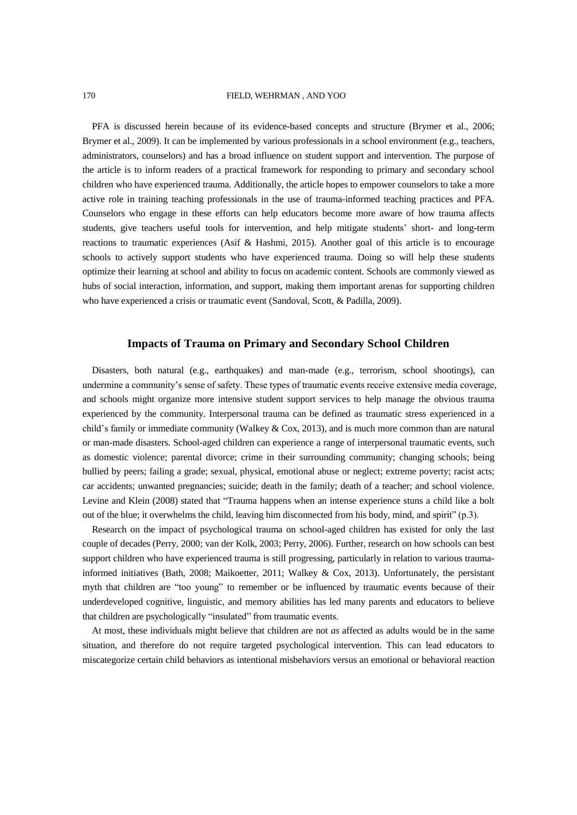#### 170 FIELD, WEHRMAN , AND YOO

PFA is discussed herein because of its evidence-based concepts and structure (Brymer et al., 2006; Brymer et al., 2009). It can be implemented by various professionals in a school environment (e.g., teachers, administrators, counselors) and has a broad influence on student support and intervention. The purpose of the article is to inform readers of a practical framework for responding to primary and secondary school children who have experienced trauma. Additionally, the article hopes to empower counselors to take a more active role in training teaching professionals in the use of trauma-informed teaching practices and PFA. Counselors who engage in these efforts can help educators become more aware of how trauma affects students, give teachers useful tools for intervention, and help mitigate students' short- and long-term reactions to traumatic experiences (Asif & Hashmi, 2015). Another goal of this article is to encourage schools to actively support students who have experienced trauma. Doing so will help these students optimize their learning at school and ability to focus on academic content. Schools are commonly viewed as hubs of social interaction, information, and support, making them important arenas for supporting children who have experienced a crisis or traumatic event (Sandoval, Scott, & Padilla, 2009).

# **Impacts of Trauma on Primary and Secondary School Children**

Disasters, both natural (e.g., earthquakes) and man-made (e.g., terrorism, school shootings), can undermine a community's sense of safety. These types of traumatic events receive extensive media coverage, and schools might organize more intensive student support services to help manage the obvious trauma experienced by the community. Interpersonal trauma can be defined as traumatic stress experienced in a child's family or immediate community (Walkey & Cox, 2013), and is much more common than are natural or man-made disasters. School-aged children can experience a range of interpersonal traumatic events, such as domestic violence; parental divorce; crime in their surrounding community; changing schools; being bullied by peers; failing a grade; sexual, physical, emotional abuse or neglect; extreme poverty; racist acts; car accidents; unwanted pregnancies; suicide; death in the family; death of a teacher; and school violence. Levine and Klein (2008) stated that "Trauma happens when an intense experience stuns a child like a bolt out of the blue; it overwhelms the child, leaving him disconnected from his body, mind, and spirit" (p.3).

Research on the impact of psychological trauma on school-aged children has existed for only the last couple of decades (Perry, 2000; van der Kolk, 2003; Perry, 2006). Further, research on how schools can best support children who have experienced trauma is still progressing, particularly in relation to various traumainformed initiatives (Bath, 2008; Maikoetter, 2011; Walkey & Cox, 2013). Unfortunately, the persistant myth that children are "too young" to remember or be influenced by traumatic events because of their underdeveloped cognitive, linguistic, and memory abilities has led many parents and educators to believe that children are psychologically "insulated" from traumatic events.

At most, these individuals might believe that children are not *as* affected as adults would be in the same situation, and therefore do not require targeted psychological intervention. This can lead educators to miscategorize certain child behaviors as intentional misbehaviors versus an emotional or behavioral reaction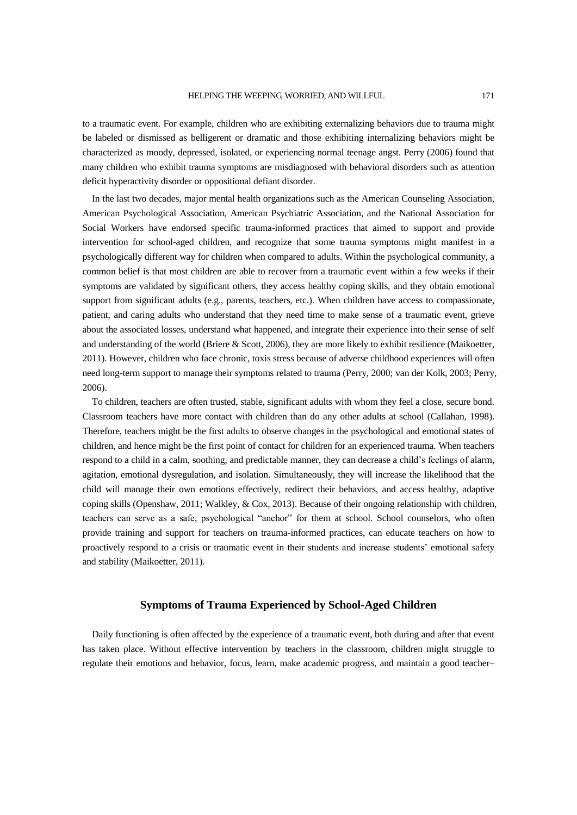to a traumatic event. For example, children who are exhibiting externalizing behaviors due to trauma might be labeled or dismissed as belligerent or dramatic and those exhibiting internalizing behaviors might be characterized as moody, depressed, isolated, or experiencing normal teenage angst. Perry (2006) found that many children who exhibit trauma symptoms are misdiagnosed with behavioral disorders such as attention deficit hyperactivity disorder or oppositional defiant disorder.

In the last two decades, major mental health organizations such as the American Counseling Association, American Psychological Association, American Psychiatric Association, and the National Association for Social Workers have endorsed specific trauma-informed practices that aimed to support and provide intervention for school-aged children, and recognize that some trauma symptoms might manifest in a psychologically different way for children when compared to adults. Within the psychological community, a common belief is that most children are able to recover from a traumatic event within a few weeks if their symptoms are validated by significant others, they access healthy coping skills, and they obtain emotional support from significant adults (e.g., parents, teachers, etc.). When children have access to compassionate, patient, and caring adults who understand that they need time to make sense of a traumatic event, grieve about the associated losses, understand what happened, and integrate their experience into their sense of self and understanding of the world (Briere & Scott, 2006), they are more likely to exhibit resilience (Maikoetter, 2011). However, children who face chronic, toxis stress because of adverse childhood experiences will often need long-term support to manage their symptoms related to trauma (Perry, 2000; van der Kolk, 2003; Perry, 2006).

To children, teachers are often trusted, stable, significant adults with whom they feel a close, secure bond. Classroom teachers have more contact with children than do any other adults at school (Callahan, 1998). Therefore, teachers might be the first adults to observe changes in the psychological and emotional states of children, and hence might be the first point of contact for children for an experienced trauma. When teachers respond to a child in a calm, soothing, and predictable manner, they can decrease a child's feelings of alarm, agitation, emotional dysregulation, and isolation. Simultaneously, they will increase the likelihood that the child will manage their own emotions effectively, redirect their behaviors, and access healthy, adaptive coping skills (Openshaw, 2011; Walkley, & Cox, 2013). Because of their ongoing relationship with children, teachers can serve as a safe, psychological "anchor" for them at school. School counselors, who often provide training and support for teachers on trauma-informed practices, can educate teachers on how to proactively respond to a crisis or traumatic event in their students and increase students' emotional safety and stability (Maikoetter, 2011).

### **Symptoms of Trauma Experienced by School-Aged Children**

Daily functioning is often affected by the experience of a traumatic event, both during and after that event has taken place. Without effective intervention by teachers in the classroom, children might struggle to regulate their emotions and behavior, focus, learn, make academic progress, and maintain a good teacher–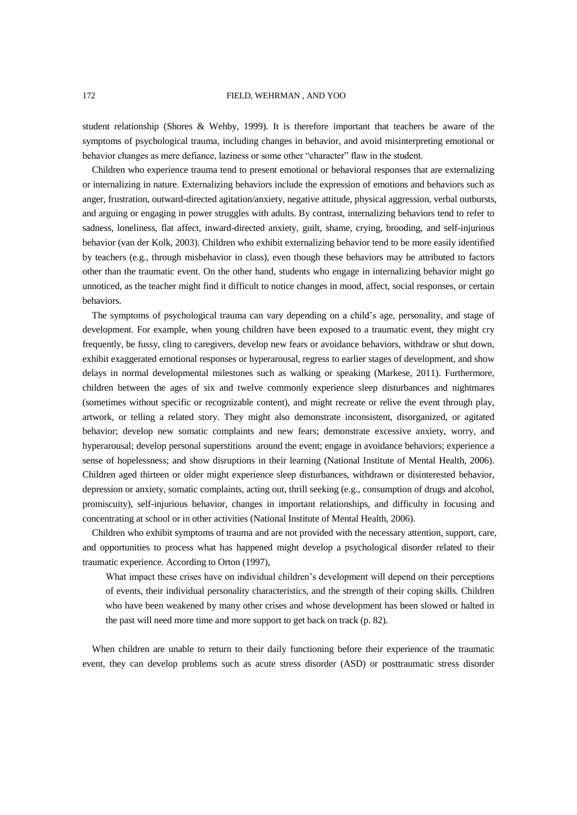#### 172 FIELD, WEHRMAN , AND YOO

student relationship (Shores & Wehby, 1999). It is therefore important that teachers be aware of the symptoms of psychological trauma, including changes in behavior, and avoid misinterpreting emotional or behavior changes as mere defiance, laziness or some other "character" flaw in the student.

Children who experience trauma tend to present emotional or behavioral responses that are externalizing or internalizing in nature. Externalizing behaviors include the expression of emotions and behaviors such as anger, frustration, outward-directed agitation/anxiety, negative attitude, physical aggression, verbal outbursts, and arguing or engaging in power struggles with adults. By contrast, internalizing behaviors tend to refer to sadness, loneliness, flat affect, inward-directed anxiety, guilt, shame, crying, brooding, and self-injurious behavior (van der Kolk, 2003). Children who exhibit externalizing behavior tend to be more easily identified by teachers (e.g., through misbehavior in class), even though these behaviors may be attributed to factors other than the traumatic event. On the other hand, students who engage in internalizing behavior might go unnoticed, as the teacher might find it difficult to notice changes in mood, affect, social responses, or certain behaviors.

The symptoms of psychological trauma can vary depending on a child's age, personality, and stage of development. For example, when young children have been exposed to a traumatic event, they might cry frequently, be fussy, cling to caregivers, develop new fears or avoidance behaviors, withdraw or shut down, exhibit exaggerated emotional responses or hyperarousal, regress to earlier stages of development, and show delays in normal developmental milestones such as walking or speaking (Markese, 2011). Furthermore, children between the ages of six and twelve commonly experience sleep disturbances and nightmares (sometimes without specific or recognizable content), and might recreate or relive the event through play, artwork, or telling a related story. They might also demonstrate inconsistent, disorganized, or agitated behavior; develop new somatic complaints and new fears; demonstrate excessive anxiety, worry, and hyperarousal; develop personal superstitions around the event; engage in avoidance behaviors; experience a sense of hopelessness; and show disruptions in their learning (National Institute of Mental Health, 2006). Children aged thirteen or older might experience sleep disturbances, withdrawn or disinterested behavior, depression or anxiety, somatic complaints, acting out, thrill seeking (e.g., consumption of drugs and alcohol, promiscuity), self-injurious behavior, changes in important relationships, and difficulty in focusing and concentrating at school or in other activities (National Institute of Mental Health, 2006).

Children who exhibit symptoms of trauma and are not provided with the necessary attention, support, care, and opportunities to process what has happened might develop a psychological disorder related to their traumatic experience. According to Orton (1997),

What impact these crises have on individual children's development will depend on their perceptions of events, their individual personality characteristics, and the strength of their coping skills. Children who have been weakened by many other crises and whose development has been slowed or halted in the past will need more time and more support to get back on track (p. 82).

When children are unable to return to their daily functioning before their experience of the traumatic event, they can develop problems such as acute stress disorder (ASD) or posttraumatic stress disorder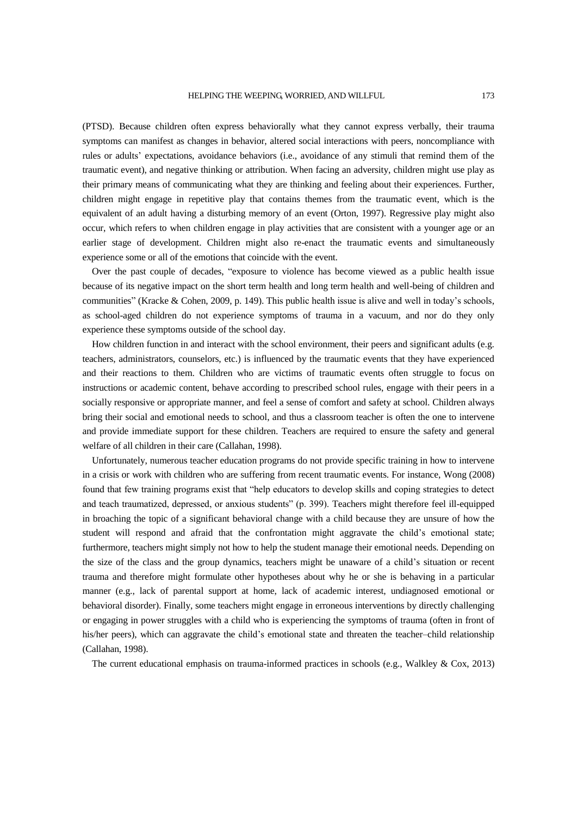(PTSD). Because children often express behaviorally what they cannot express verbally, their trauma symptoms can manifest as changes in behavior, altered social interactions with peers, noncompliance with rules or adults' expectations, avoidance behaviors (i.e., avoidance of any stimuli that remind them of the traumatic event), and negative thinking or attribution. When facing an adversity, children might use play as their primary means of communicating what they are thinking and feeling about their experiences. Further, children might engage in repetitive play that contains themes from the traumatic event, which is the equivalent of an adult having a disturbing memory of an event (Orton, 1997). Regressive play might also occur, which refers to when children engage in play activities that are consistent with a younger age or an earlier stage of development. Children might also re-enact the traumatic events and simultaneously experience some or all of the emotions that coincide with the event.

Over the past couple of decades, "exposure to violence has become viewed as a public health issue because of its negative impact on the short term health and long term health and well-being of children and communities" (Kracke & Cohen, 2009, p. 149). This public health issue is alive and well in today's schools, as school-aged children do not experience symptoms of trauma in a vacuum, and nor do they only experience these symptoms outside of the school day.

How children function in and interact with the school environment, their peers and significant adults (e.g. teachers, administrators, counselors, etc.) is influenced by the traumatic events that they have experienced and their reactions to them. Children who are victims of traumatic events often struggle to focus on instructions or academic content, behave according to prescribed school rules, engage with their peers in a socially responsive or appropriate manner, and feel a sense of comfort and safety at school. Children always bring their social and emotional needs to school, and thus a classroom teacher is often the one to intervene and provide immediate support for these children. Teachers are required to ensure the safety and general welfare of all children in their care (Callahan, 1998).

Unfortunately, numerous teacher education programs do not provide specific training in how to intervene in a crisis or work with children who are suffering from recent traumatic events. For instance, Wong (2008) found that few training programs exist that "help educators to develop skills and coping strategies to detect and teach traumatized, depressed, or anxious students" (p. 399). Teachers might therefore feel ill-equipped in broaching the topic of a significant behavioral change with a child because they are unsure of how the student will respond and afraid that the confrontation might aggravate the child's emotional state; furthermore, teachers might simply not how to help the student manage their emotional needs. Depending on the size of the class and the group dynamics, teachers might be unaware of a child's situation or recent trauma and therefore might formulate other hypotheses about why he or she is behaving in a particular manner (e.g., lack of parental support at home, lack of academic interest, undiagnosed emotional or behavioral disorder). Finally, some teachers might engage in erroneous interventions by directly challenging or engaging in power struggles with a child who is experiencing the symptoms of trauma (often in front of his/her peers), which can aggravate the child's emotional state and threaten the teacher–child relationship (Callahan, 1998).

The current educational emphasis on trauma-informed practices in schools (e.g., Walkley & Cox, 2013)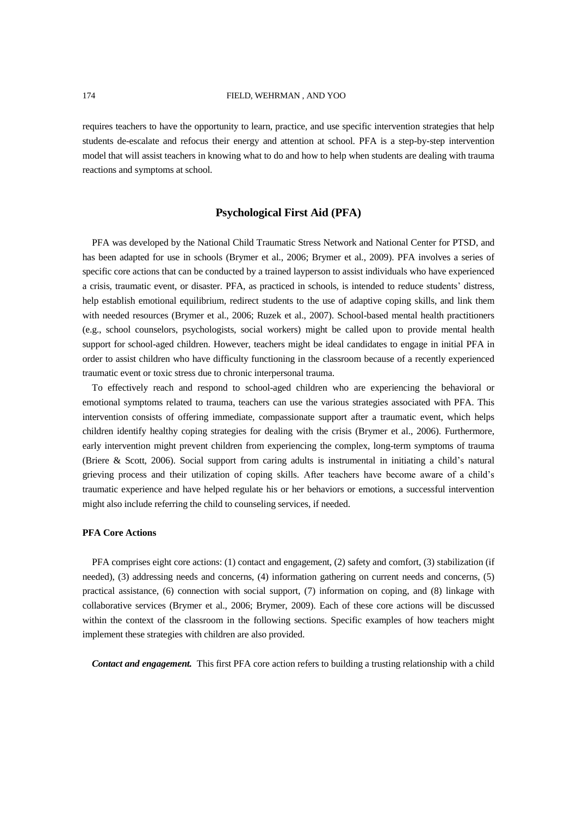requires teachers to have the opportunity to learn, practice, and use specific intervention strategies that help students de-escalate and refocus their energy and attention at school. PFA is a step-by-step intervention model that will assist teachers in knowing what to do and how to help when students are dealing with trauma reactions and symptoms at school.

### **Psychological First Aid (PFA)**

PFA was developed by the National Child Traumatic Stress Network and National Center for PTSD, and has been adapted for use in schools (Brymer et al., 2006; Brymer et al., 2009). PFA involves a series of specific core actions that can be conducted by a trained layperson to assist individuals who have experienced a crisis, traumatic event, or disaster. PFA, as practiced in schools, is intended to reduce students' distress, help establish emotional equilibrium, redirect students to the use of adaptive coping skills, and link them with needed resources (Brymer et al., 2006; Ruzek et al., 2007). School-based mental health practitioners (e.g., school counselors, psychologists, social workers) might be called upon to provide mental health support for school-aged children. However, teachers might be ideal candidates to engage in initial PFA in order to assist children who have difficulty functioning in the classroom because of a recently experienced traumatic event or toxic stress due to chronic interpersonal trauma.

To effectively reach and respond to school-aged children who are experiencing the behavioral or emotional symptoms related to trauma, teachers can use the various strategies associated with PFA. This intervention consists of offering immediate, compassionate support after a traumatic event, which helps children identify healthy coping strategies for dealing with the crisis (Brymer et al., 2006). Furthermore, early intervention might prevent children from experiencing the complex, long-term symptoms of trauma (Briere & Scott, 2006). Social support from caring adults is instrumental in initiating a child's natural grieving process and their utilization of coping skills. After teachers have become aware of a child's traumatic experience and have helped regulate his or her behaviors or emotions, a successful intervention might also include referring the child to counseling services, if needed.

#### **PFA Core Actions**

PFA comprises eight core actions: (1) contact and engagement, (2) safety and comfort, (3) stabilization (if needed), (3) addressing needs and concerns, (4) information gathering on current needs and concerns, (5) practical assistance, (6) connection with social support, (7) information on coping, and (8) linkage with collaborative services (Brymer et al., 2006; Brymer, 2009). Each of these core actions will be discussed within the context of the classroom in the following sections. Specific examples of how teachers might implement these strategies with children are also provided.

*Contact and engagement.* This first PFA core action refers to building a trusting relationship with a child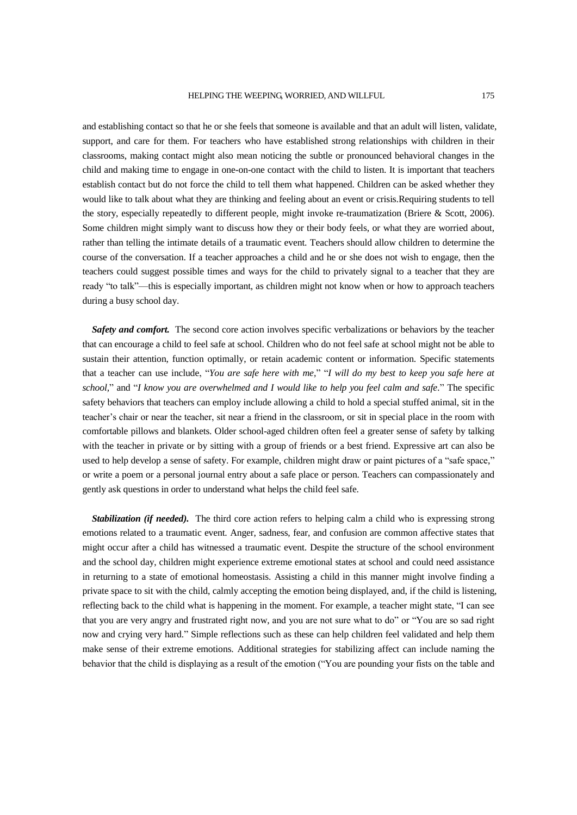#### HELPING THE WEEPING, WORRIED, AND WILLFUL 175

and establishing contact so that he or she feels that someone is available and that an adult will listen, validate, support, and care for them. For teachers who have established strong relationships with children in their classrooms, making contact might also mean noticing the subtle or pronounced behavioral changes in the child and making time to engage in one-on-one contact with the child to listen. It is important that teachers establish contact but do not force the child to tell them what happened. Children can be asked whether they would like to talk about what they are thinking and feeling about an event or crisis.Requiring students to tell the story, especially repeatedly to different people, might invoke re-traumatization (Briere & Scott, 2006). Some children might simply want to discuss how they or their body feels, or what they are worried about, rather than telling the intimate details of a traumatic event. Teachers should allow children to determine the course of the conversation. If a teacher approaches a child and he or she does not wish to engage, then the teachers could suggest possible times and ways for the child to privately signal to a teacher that they are ready "to talk"—this is especially important, as children might not know when or how to approach teachers during a busy school day.

*Safety and comfort.* The second core action involves specific verbalizations or behaviors by the teacher that can encourage a child to feel safe at school. Children who do not feel safe at school might not be able to sustain their attention, function optimally, or retain academic content or information. Specific statements that a teacher can use include, "*You are safe here with me,*" "*I will do my best to keep you safe here at school,*" and "*I know you are overwhelmed and I would like to help you feel calm and safe.*" The specific safety behaviors that teachers can employ include allowing a child to hold a special stuffed animal, sit in the teacher's chair or near the teacher, sit near a friend in the classroom, or sit in special place in the room with comfortable pillows and blankets. Older school-aged children often feel a greater sense of safety by talking with the teacher in private or by sitting with a group of friends or a best friend. Expressive art can also be used to help develop a sense of safety. For example, children might draw or paint pictures of a "safe space," or write a poem or a personal journal entry about a safe place or person. Teachers can compassionately and gently ask questions in order to understand what helps the child feel safe.

*Stabilization (if needed).* The third core action refers to helping calm a child who is expressing strong emotions related to a traumatic event. Anger, sadness, fear, and confusion are common affective states that might occur after a child has witnessed a traumatic event. Despite the structure of the school environment and the school day, children might experience extreme emotional states at school and could need assistance in returning to a state of emotional homeostasis. Assisting a child in this manner might involve finding a private space to sit with the child, calmly accepting the emotion being displayed, and, if the child is listening, reflecting back to the child what is happening in the moment. For example, a teacher might state, "I can see that you are very angry and frustrated right now, and you are not sure what to do" or "You are so sad right now and crying very hard." Simple reflections such as these can help children feel validated and help them make sense of their extreme emotions. Additional strategies for stabilizing affect can include naming the behavior that the child is displaying as a result of the emotion ("You are pounding your fists on the table and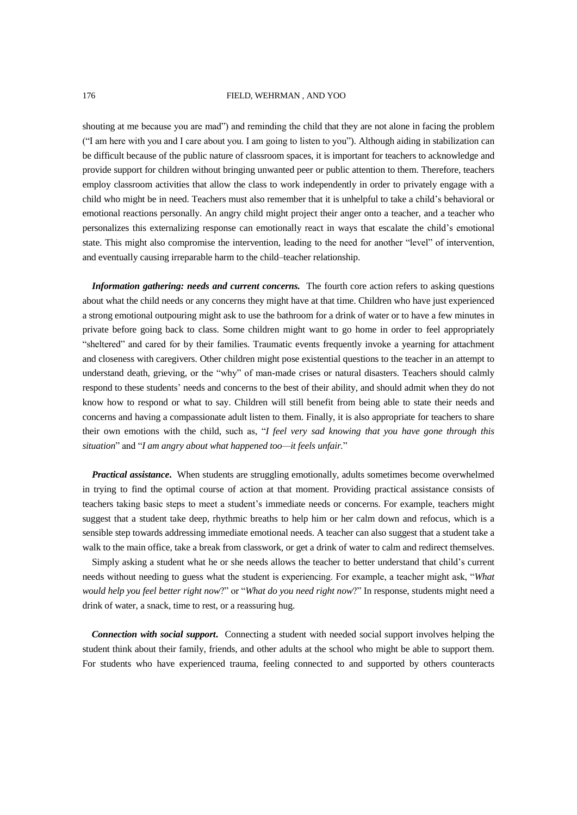#### 176 FIELD, WEHRMAN , AND YOO

shouting at me because you are mad") and reminding the child that they are not alone in facing the problem ("I am here with you and I care about you. I am going to listen to you"). Although aiding in stabilization can be difficult because of the public nature of classroom spaces, it is important for teachers to acknowledge and provide support for children without bringing unwanted peer or public attention to them. Therefore, teachers employ classroom activities that allow the class to work independently in order to privately engage with a child who might be in need. Teachers must also remember that it is unhelpful to take a child's behavioral or emotional reactions personally. An angry child might project their anger onto a teacher, and a teacher who personalizes this externalizing response can emotionally react in ways that escalate the child's emotional state. This might also compromise the intervention, leading to the need for another "level" of intervention, and eventually causing irreparable harm to the child–teacher relationship.

*Information gathering: needs and current concerns.* The fourth core action refers to asking questions about what the child needs or any concerns they might have at that time. Children who have just experienced a strong emotional outpouring might ask to use the bathroom for a drink of water or to have a few minutes in private before going back to class. Some children might want to go home in order to feel appropriately "sheltered" and cared for by their families. Traumatic events frequently invoke a yearning for attachment and closeness with caregivers. Other children might pose existential questions to the teacher in an attempt to understand death, grieving, or the "why" of man-made crises or natural disasters. Teachers should calmly respond to these students' needs and concerns to the best of their ability, and should admit when they do not know how to respond or what to say. Children will still benefit from being able to state their needs and concerns and having a compassionate adult listen to them. Finally, it is also appropriate for teachers to share their own emotions with the child, such as, "*I feel very sad knowing that you have gone through this situation*" and "*I am angry about what happened too—it feels unfair.*"

*Practical assistance***.** When students are struggling emotionally, adults sometimes become overwhelmed in trying to find the optimal course of action at that moment. Providing practical assistance consists of teachers taking basic steps to meet a student's immediate needs or concerns. For example, teachers might suggest that a student take deep, rhythmic breaths to help him or her calm down and refocus, which is a sensible step towards addressing immediate emotional needs. A teacher can also suggest that a student take a walk to the main office, take a break from classwork, or get a drink of water to calm and redirect themselves.

Simply asking a student what he or she needs allows the teacher to better understand that child's current needs without needing to guess what the student is experiencing. For example, a teacher might ask, "*What would help you feel better right now*?" or "*What do you need right now*?" In response, students might need a drink of water, a snack, time to rest, or a reassuring hug.

*Connection with social support***.** Connecting a student with needed social support involves helping the student think about their family, friends, and other adults at the school who might be able to support them. For students who have experienced trauma, feeling connected to and supported by others counteracts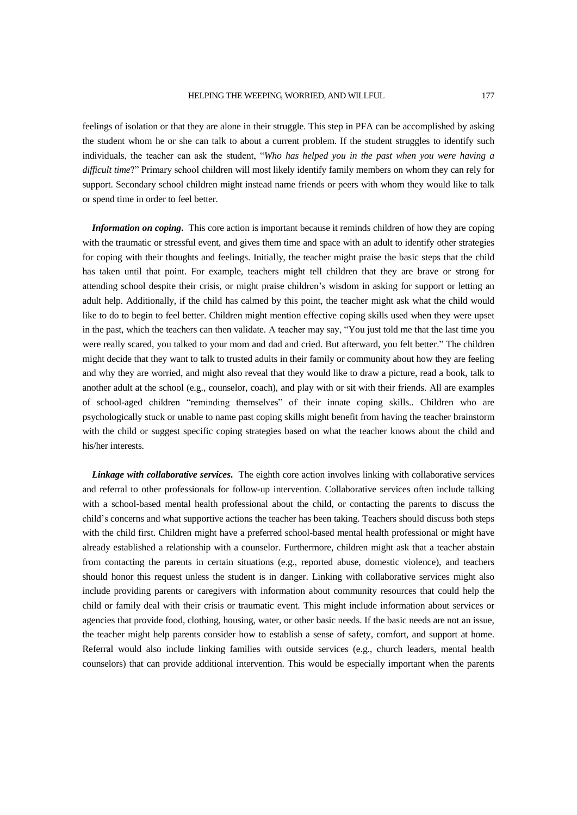feelings of isolation or that they are alone in their struggle. This step in PFA can be accomplished by asking the student whom he or she can talk to about a current problem. If the student struggles to identify such individuals, the teacher can ask the student, "*Who has helped you in the past when you were having a difficult time*?" Primary school children will most likely identify family members on whom they can rely for support. Secondary school children might instead name friends or peers with whom they would like to talk or spend time in order to feel better.

*Information on coping***.** This core action is important because it reminds children of how they are coping with the traumatic or stressful event, and gives them time and space with an adult to identify other strategies for coping with their thoughts and feelings. Initially, the teacher might praise the basic steps that the child has taken until that point. For example, teachers might tell children that they are brave or strong for attending school despite their crisis, or might praise children's wisdom in asking for support or letting an adult help. Additionally, if the child has calmed by this point, the teacher might ask what the child would like to do to begin to feel better. Children might mention effective coping skills used when they were upset in the past, which the teachers can then validate. A teacher may say, "You just told me that the last time you were really scared, you talked to your mom and dad and cried. But afterward, you felt better." The children might decide that they want to talk to trusted adults in their family or community about how they are feeling and why they are worried, and might also reveal that they would like to draw a picture, read a book, talk to another adult at the school (e.g., counselor, coach), and play with or sit with their friends. All are examples of school-aged children "reminding themselves" of their innate coping skills.. Children who are psychologically stuck or unable to name past coping skills might benefit from having the teacher brainstorm with the child or suggest specific coping strategies based on what the teacher knows about the child and his/her interests.

*Linkage with collaborative services***.** The eighth core action involves linking with collaborative services and referral to other professionals for follow-up intervention. Collaborative services often include talking with a school-based mental health professional about the child, or contacting the parents to discuss the child's concerns and what supportive actions the teacher has been taking. Teachers should discuss both steps with the child first. Children might have a preferred school-based mental health professional or might have already established a relationship with a counselor. Furthermore, children might ask that a teacher abstain from contacting the parents in certain situations (e.g., reported abuse, domestic violence), and teachers should honor this request unless the student is in danger. Linking with collaborative services might also include providing parents or caregivers with information about community resources that could help the child or family deal with their crisis or traumatic event. This might include information about services or agencies that provide food, clothing, housing, water, or other basic needs. If the basic needs are not an issue, the teacher might help parents consider how to establish a sense of safety, comfort, and support at home. Referral would also include linking families with outside services (e.g., church leaders, mental health counselors) that can provide additional intervention. This would be especially important when the parents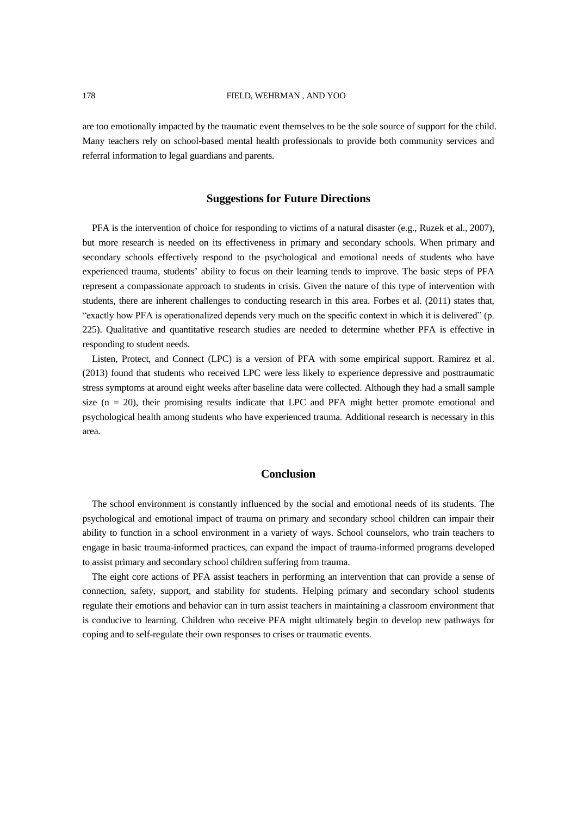are too emotionally impacted by the traumatic event themselves to be the sole source of support for the child. Many teachers rely on school-based mental health professionals to provide both community services and referral information to legal guardians and parents.

# **Suggestions for Future Directions**

PFA is the intervention of choice for responding to victims of a natural disaster (e.g., Ruzek et al., 2007), but more research is needed on its effectiveness in primary and secondary schools. When primary and secondary schools effectively respond to the psychological and emotional needs of students who have experienced trauma, students' ability to focus on their learning tends to improve. The basic steps of PFA represent a compassionate approach to students in crisis. Given the nature of this type of intervention with students, there are inherent challenges to conducting research in this area. Forbes et al. (2011) states that, "exactly how PFA is operationalized depends very much on the specific context in which it is delivered" (p. 225). Qualitative and quantitative research studies are needed to determine whether PFA is effective in responding to student needs.

Listen, Protect, and Connect (LPC) is a version of PFA with some empirical support. Ramirez et al. (2013) found that students who received LPC were less likely to experience depressive and posttraumatic stress symptoms at around eight weeks after baseline data were collected. Although they had a small sample size (n = 20), their promising results indicate that LPC and PFA might better promote emotional and psychological health among students who have experienced trauma. Additional research is necessary in this area.

# **Conclusion**

The school environment is constantly influenced by the social and emotional needs of its students. The psychological and emotional impact of trauma on primary and secondary school children can impair their ability to function in a school environment in a variety of ways. School counselors, who train teachers to engage in basic trauma-informed practices, can expand the impact of trauma-informed programs developed to assist primary and secondary school children suffering from trauma.

The eight core actions of PFA assist teachers in performing an intervention that can provide a sense of connection, safety, support, and stability for students. Helping primary and secondary school students regulate their emotions and behavior can in turn assist teachers in maintaining a classroom environment that is conducive to learning. Children who receive PFA might ultimately begin to develop new pathways for coping and to self-regulate their own responses to crises or traumatic events.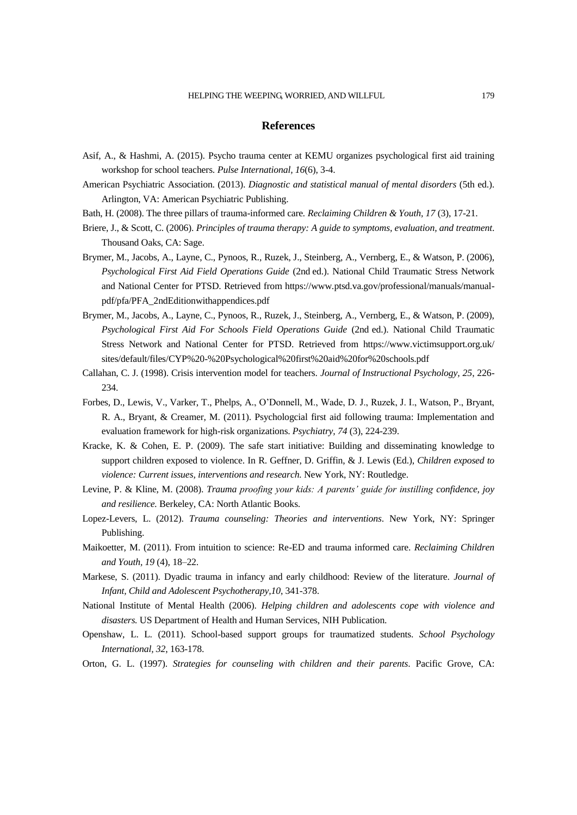## **References**

- Asif, A., & Hashmi, A. (2015). Psycho trauma center at KEMU organizes psychological first aid training workshop for school teachers. *Pulse International, 16*(6), 3-4.
- American Psychiatric Association. (2013). *Diagnostic and statistical manual of mental disorders* (5th ed.). Arlington, VA: American Psychiatric Publishing.
- Bath, H. (2008). The three pillars of trauma-informed care*. Reclaiming Children & Youth, 17* (3), 17-21.
- Briere, J., & Scott, C. (2006). *Principles of trauma therapy: A guide to symptoms, evaluation, and treatment*. Thousand Oaks, CA: Sage.
- Brymer, M., Jacobs, A., Layne, C., Pynoos, R., Ruzek, J., Steinberg, A., Vernberg, E., & Watson, P. (2006), *Psychological First Aid Field Operations Guide* (2nd ed.). National Child Traumatic Stress Network and National Center for PTSD. Retrieved from [https://www.ptsd.va.gov/professional/manuals/manual](https://www.ptsd.va.gov/professional/manuals/manual-pdf/pfa/PFA_2ndEditionwithappendices.pdf)[pdf/pfa/PFA\\_2ndEditionwithappendices.pdf](https://www.ptsd.va.gov/professional/manuals/manual-pdf/pfa/PFA_2ndEditionwithappendices.pdf)
- Brymer, M., Jacobs, A., Layne, C., Pynoos, R., Ruzek, J., Steinberg, A., Vernberg, E., & Watson, P. (2009), *Psychological First Aid For Schools Field Operations Guide* (2nd ed.). National Child Traumatic Stress Network and National Center for PTSD. Retrieved from <https://www.victimsupport.org.uk/> sites/default/files/CYP%20-%20Psychological%20first%20aid%20for%20schools.pdf
- Callahan, C. J. (1998). Crisis intervention model for teachers. *Journal of Instructional Psychology, 25*, 226- 234.
- Forbes, D., Lewis, V., Varker, T., Phelps, A., O'Donnell, M., Wade, D. J., Ruzek, J. I., Watson, P., Bryant, R. A., Bryant, & Creamer, M. (2011). Psychologcial first aid following trauma: Implementation and evaluation framework for high-risk organizations. *Psychiatry, 74* (3), 224-239.
- Kracke, K. & Cohen, E. P. (2009). The safe start initiative: Building and disseminating knowledge to support children exposed to violence. In R. Geffner, D. Griffin, & J. Lewis (Ed.), *Children exposed to violence: Current issues, interventions and research.* New York, NY: Routledge.
- Levine, P. & Kline, M. (2008). *Trauma proofing your kids: A parents' guide for instilling confidence, joy and resilience.* Berkeley, CA: North Atlantic Books.
- Lopez-Levers, L. (2012). *Trauma counseling: Theories and interventions*. New York, NY: Springer Publishing.
- Maikoetter, M. (2011). From intuition to science: Re-ED and trauma informed care. *Reclaiming Children and Youth, 19* (4), 18–22.
- Markese, S. (2011). Dyadic trauma in infancy and early childhood: Review of the literature. *Journal of Infant, Child and Adolescent Psychotherapy,10*, 341-378.
- National Institute of Mental Health (2006). *Helping children and adolescents cope with violence and disasters.* US Department of Health and Human Services, NIH Publication.
- Openshaw, L. L. (2011). School-based support groups for traumatized students. *School Psychology International, 32*, 163-178.
- Orton, G. L. (1997). *Strategies for counseling with children and their parents*. Pacific Grove, CA: